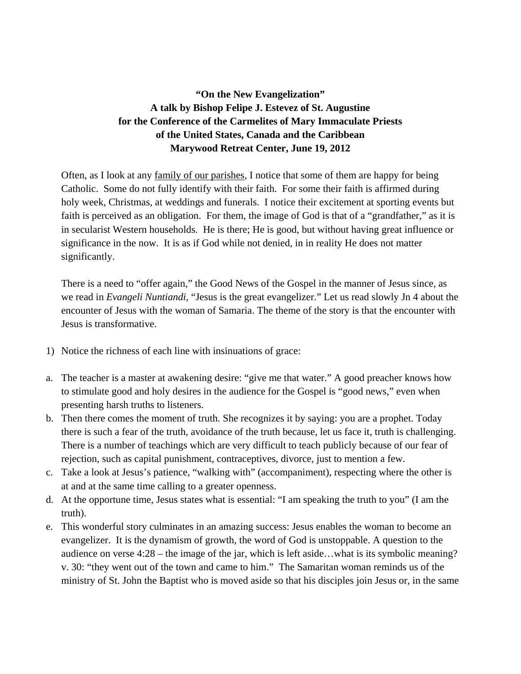## **"On the New Evangelization" A talk by Bishop Felipe J. Estevez of St. Augustine for the Conference of the Carmelites of Mary Immaculate Priests of the United States, Canada and the Caribbean Marywood Retreat Center, June 19, 2012**

Often, as I look at any family of our parishes, I notice that some of them are happy for being Catholic. Some do not fully identify with their faith. For some their faith is affirmed during holy week, Christmas, at weddings and funerals. I notice their excitement at sporting events but faith is perceived as an obligation. For them, the image of God is that of a "grandfather," as it is in secularist Western households. He is there; He is good, but without having great influence or significance in the now. It is as if God while not denied, in in reality He does not matter significantly.

There is a need to "offer again," the Good News of the Gospel in the manner of Jesus since, as we read in *Evangeli Nuntiandi*, "Jesus is the great evangelizer." Let us read slowly Jn 4 about the encounter of Jesus with the woman of Samaria. The theme of the story is that the encounter with Jesus is transformative.

- 1) Notice the richness of each line with insinuations of grace:
- a. The teacher is a master at awakening desire: "give me that water." A good preacher knows how to stimulate good and holy desires in the audience for the Gospel is "good news," even when presenting harsh truths to listeners.
- b. Then there comes the moment of truth. She recognizes it by saying: you are a prophet. Today there is such a fear of the truth, avoidance of the truth because, let us face it, truth is challenging. There is a number of teachings which are very difficult to teach publicly because of our fear of rejection, such as capital punishment, contraceptives, divorce, just to mention a few.
- c. Take a look at Jesus's patience, "walking with" (accompaniment), respecting where the other is at and at the same time calling to a greater openness.
- d. At the opportune time, Jesus states what is essential: "I am speaking the truth to you" (I am the truth).
- e. This wonderful story culminates in an amazing success: Jesus enables the woman to become an evangelizer. It is the dynamism of growth, the word of God is unstoppable. A question to the audience on verse 4:28 – the image of the jar, which is left aside…what is its symbolic meaning? v. 30: "they went out of the town and came to him." The Samaritan woman reminds us of the ministry of St. John the Baptist who is moved aside so that his disciples join Jesus or, in the same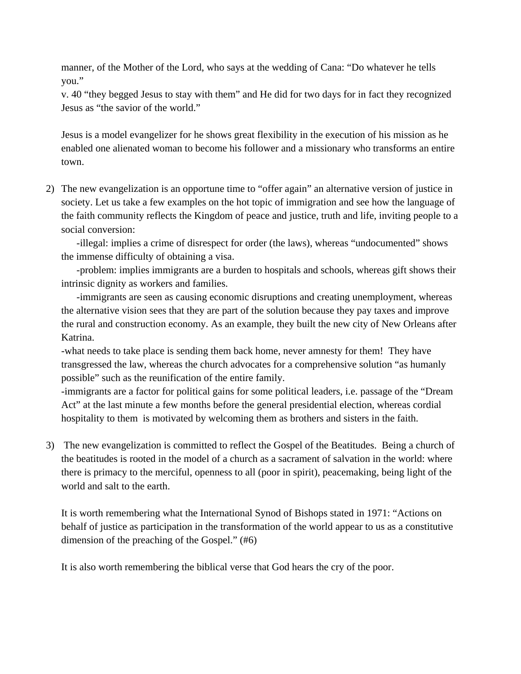manner, of the Mother of the Lord, who says at the wedding of Cana: "Do whatever he tells you."

v. 40 "they begged Jesus to stay with them" and He did for two days for in fact they recognized Jesus as "the savior of the world."

Jesus is a model evangelizer for he shows great flexibility in the execution of his mission as he enabled one alienated woman to become his follower and a missionary who transforms an entire town.

2) The new evangelization is an opportune time to "offer again" an alternative version of justice in society. Let us take a few examples on the hot topic of immigration and see how the language of the faith community reflects the Kingdom of peace and justice, truth and life, inviting people to a social conversion:

-illegal: implies a crime of disrespect for order (the laws), whereas "undocumented" shows the immense difficulty of obtaining a visa.

-problem: implies immigrants are a burden to hospitals and schools, whereas gift shows their intrinsic dignity as workers and families.

-immigrants are seen as causing economic disruptions and creating unemployment, whereas the alternative vision sees that they are part of the solution because they pay taxes and improve the rural and construction economy. As an example, they built the new city of New Orleans after Katrina.

-what needs to take place is sending them back home, never amnesty for them! They have transgressed the law, whereas the church advocates for a comprehensive solution "as humanly possible" such as the reunification of the entire family.

-immigrants are a factor for political gains for some political leaders, i.e. passage of the "Dream Act" at the last minute a few months before the general presidential election, whereas cordial hospitality to them is motivated by welcoming them as brothers and sisters in the faith.

3) The new evangelization is committed to reflect the Gospel of the Beatitudes. Being a church of the beatitudes is rooted in the model of a church as a sacrament of salvation in the world: where there is primacy to the merciful, openness to all (poor in spirit), peacemaking, being light of the world and salt to the earth.

It is worth remembering what the International Synod of Bishops stated in 1971: "Actions on behalf of justice as participation in the transformation of the world appear to us as a constitutive dimension of the preaching of the Gospel." (#6)

It is also worth remembering the biblical verse that God hears the cry of the poor.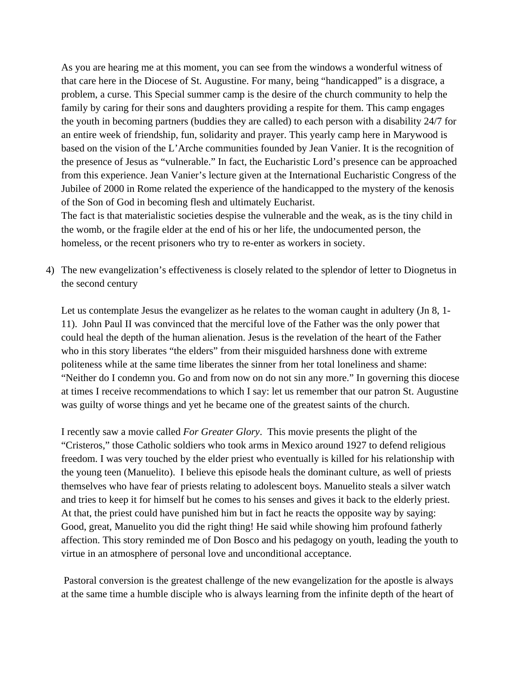As you are hearing me at this moment, you can see from the windows a wonderful witness of that care here in the Diocese of St. Augustine. For many, being "handicapped" is a disgrace, a problem, a curse. This Special summer camp is the desire of the church community to help the family by caring for their sons and daughters providing a respite for them. This camp engages the youth in becoming partners (buddies they are called) to each person with a disability 24/7 for an entire week of friendship, fun, solidarity and prayer. This yearly camp here in Marywood is based on the vision of the L'Arche communities founded by Jean Vanier. It is the recognition of the presence of Jesus as "vulnerable." In fact, the Eucharistic Lord's presence can be approached from this experience. Jean Vanier's lecture given at the International Eucharistic Congress of the Jubilee of 2000 in Rome related the experience of the handicapped to the mystery of the kenosis of the Son of God in becoming flesh and ultimately Eucharist.

The fact is that materialistic societies despise the vulnerable and the weak, as is the tiny child in the womb, or the fragile elder at the end of his or her life, the undocumented person, the homeless, or the recent prisoners who try to re-enter as workers in society.

4) The new evangelization's effectiveness is closely related to the splendor of letter to Diognetus in the second century

Let us contemplate Jesus the evangelizer as he relates to the woman caught in adultery (Jn 8, 1-11). John Paul II was convinced that the merciful love of the Father was the only power that could heal the depth of the human alienation. Jesus is the revelation of the heart of the Father who in this story liberates "the elders" from their misguided harshness done with extreme politeness while at the same time liberates the sinner from her total loneliness and shame: "Neither do I condemn you. Go and from now on do not sin any more." In governing this diocese at times I receive recommendations to which I say: let us remember that our patron St. Augustine was guilty of worse things and yet he became one of the greatest saints of the church.

I recently saw a movie called *For Greater Glory*. This movie presents the plight of the "Cristeros," those Catholic soldiers who took arms in Mexico around 1927 to defend religious freedom. I was very touched by the elder priest who eventually is killed for his relationship with the young teen (Manuelito). I believe this episode heals the dominant culture, as well of priests themselves who have fear of priests relating to adolescent boys. Manuelito steals a silver watch and tries to keep it for himself but he comes to his senses and gives it back to the elderly priest. At that, the priest could have punished him but in fact he reacts the opposite way by saying: Good, great, Manuelito you did the right thing! He said while showing him profound fatherly affection. This story reminded me of Don Bosco and his pedagogy on youth, leading the youth to virtue in an atmosphere of personal love and unconditional acceptance.

 Pastoral conversion is the greatest challenge of the new evangelization for the apostle is always at the same time a humble disciple who is always learning from the infinite depth of the heart of